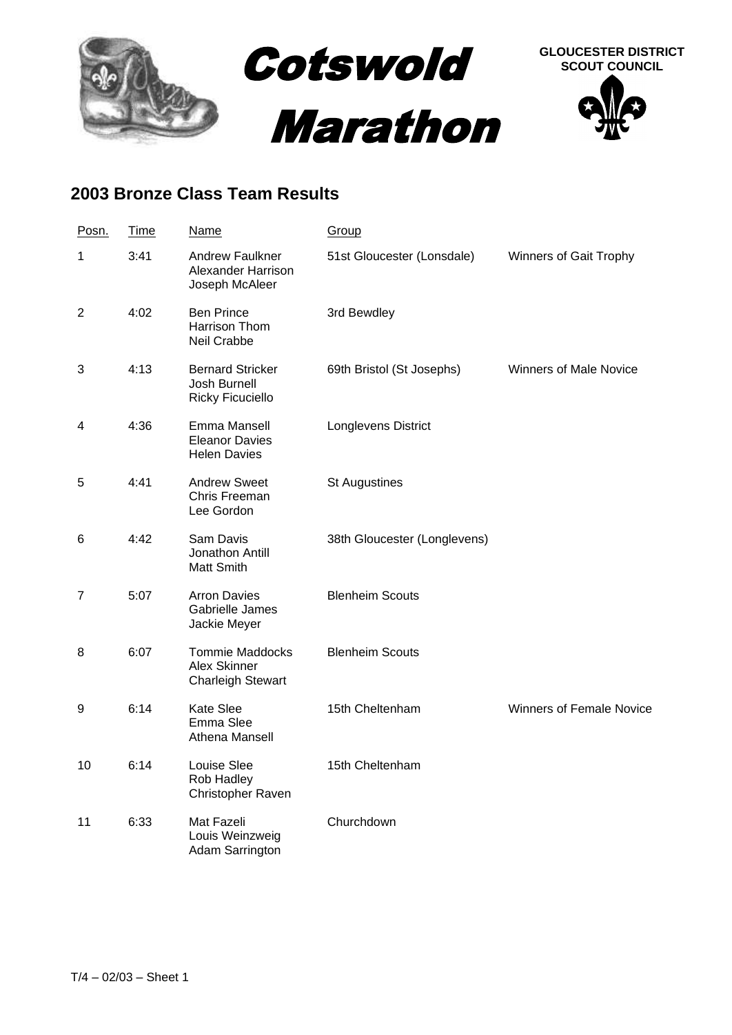

## **2003 Bronze Class Team Results**

| Posn.          | Time | <b>Name</b>                                                        | Group                        |                                 |
|----------------|------|--------------------------------------------------------------------|------------------------------|---------------------------------|
| 1              | 3:41 | <b>Andrew Faulkner</b><br>Alexander Harrison<br>Joseph McAleer     | 51st Gloucester (Lonsdale)   | Winners of Gait Trophy          |
| $\overline{2}$ | 4:02 | <b>Ben Prince</b><br>Harrison Thom<br>Neil Crabbe                  | 3rd Bewdley                  |                                 |
| 3              | 4:13 | <b>Bernard Stricker</b><br>Josh Burnell<br><b>Ricky Ficuciello</b> | 69th Bristol (St Josephs)    | <b>Winners of Male Novice</b>   |
| 4              | 4:36 | Emma Mansell<br><b>Eleanor Davies</b><br><b>Helen Davies</b>       | Longlevens District          |                                 |
| 5              | 4:41 | <b>Andrew Sweet</b><br>Chris Freeman<br>Lee Gordon                 | <b>St Augustines</b>         |                                 |
| 6              | 4:42 | Sam Davis<br>Jonathon Antill<br>Matt Smith                         | 38th Gloucester (Longlevens) |                                 |
| 7              | 5:07 | <b>Arron Davies</b><br>Gabrielle James<br>Jackie Meyer             | <b>Blenheim Scouts</b>       |                                 |
| 8              | 6:07 | <b>Tommie Maddocks</b><br>Alex Skinner<br><b>Charleigh Stewart</b> | <b>Blenheim Scouts</b>       |                                 |
| 9              | 6:14 | Kate Slee<br>Emma Slee<br>Athena Mansell                           | 15th Cheltenham              | <b>Winners of Female Novice</b> |
| 10             | 6:14 | Louise Slee<br>Rob Hadley<br><b>Christopher Raven</b>              | 15th Cheltenham              |                                 |
| 11             | 6:33 | Mat Fazeli<br>Louis Weinzweig<br>Adam Sarrington                   | Churchdown                   |                                 |